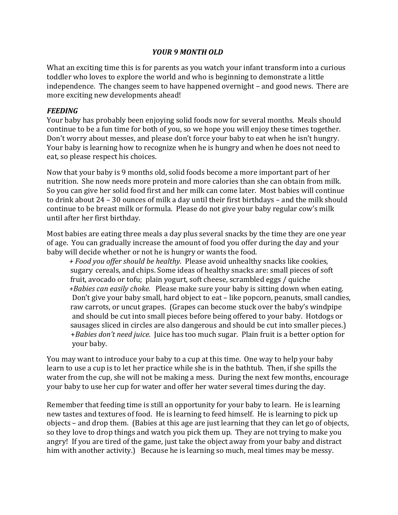### *YOUR 9 MONTH OLD*

What an exciting time this is for parents as you watch your infant transform into a curious toddler who loves to explore the world and who is beginning to demonstrate a little independence. The changes seem to have happened overnight – and good news. There are more exciting new developments ahead!

### *FEEDING*

Your baby has probably been enjoying solid foods now for several months. Meals should continue to be a fun time for both of you, so we hope you will enjoy these times together. Don't worry about messes, and please don't force your baby to eat when he isn't hungry. Your baby is learning how to recognize when he is hungry and when he does not need to eat, so please respect his choices.

Now that your baby is 9 months old, solid foods become a more important part of her nutrition. She now needs more protein and more calories than she can obtain from milk. So you can give her solid food first and her milk can come later. Most babies will continue to drink about  $24 - 30$  ounces of milk a day until their first birthdays – and the milk should continue to be breast milk or formula. Please do not give your baby regular cow's milk until after her first birthday.

Most babies are eating three meals a day plus several snacks by the time they are one year of age. You can gradually increase the amount of food you offer during the day and your baby will decide whether or not he is hungry or wants the food.

*+ Food you offer should be healthy.* Please avoid unhealthy snacks like cookies, sugary cereals, and chips. Some ideas of healthy snacks are: small pieces of soft fruit, avocado or tofu; plain yogurt, soft cheese, scrambled eggs / quiche *+Babies can easily choke.* Please make sure your baby is sitting down when eating. Don't give your baby small, hard object to eat – like popcorn, peanuts, small candies, raw carrots, or uncut grapes. (Grapes can become stuck over the baby's windpipe and should be cut into small pieces before being offered to your baby. Hotdogs or sausages sliced in circles are also dangerous and should be cut into smaller pieces.) +*Babies don't need juice*. Juice has too much sugar. Plain fruit is a better option for your baby.

You may want to introduce your baby to a cup at this time. One way to help your baby learn to use a cup is to let her practice while she is in the bathtub. Then, if she spills the water from the cup, she will not be making a mess. During the next few months, encourage your baby to use her cup for water and offer her water several times during the day.

Remember that feeding time is still an opportunity for your baby to learn. He is learning new tastes and textures of food. He is learning to feed himself. He is learning to pick up objects – and drop them. (Babies at this age are just learning that they can let go of objects, so they love to drop things and watch you pick them up. They are not trying to make you angry! If you are tired of the game, just take the object away from your baby and distract him with another activity.) Because he is learning so much, meal times may be messy.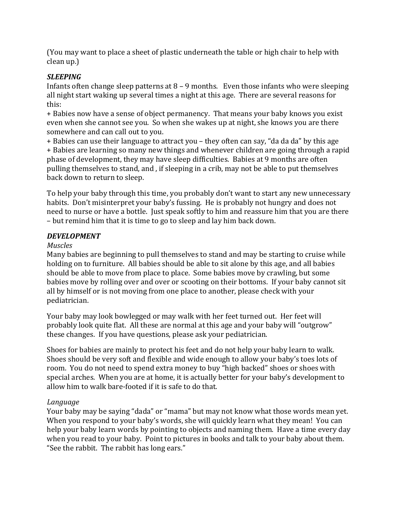(You may want to place a sheet of plastic underneath the table or high chair to help with clean up.)

# *SLEEPING*

Infants often change sleep patterns at  $8 - 9$  months. Even those infants who were sleeping all night start waking up several times a night at this age. There are several reasons for this:

+ Babies now have a sense of object permanency. That means your baby knows you exist even when she cannot see you. So when she wakes up at night, she knows you are there somewhere and can call out to you.

+ Babies can use their language to attract you – they often can say, "da da da" by this age + Babies are learning so many new things and whenever children are going through a rapid phase of development, they may have sleep difficulties. Babies at 9 months are often pulling themselves to stand, and, if sleeping in a crib, may not be able to put themselves back down to return to sleep.

To help your baby through this time, you probably don't want to start any new unnecessary habits. Don't misinterpret your baby's fussing. He is probably not hungry and does not need to nurse or have a bottle. Just speak softly to him and reassure him that you are there – but remind him that it is time to go to sleep and lay him back down.

## *DEVELOPMENT*

### *Muscles*

Many babies are beginning to pull themselves to stand and may be starting to cruise while holding on to furniture. All babies should be able to sit alone by this age, and all babies should be able to move from place to place. Some babies move by crawling, but some babies move by rolling over and over or scooting on their bottoms. If your baby cannot sit all by himself or is not moving from one place to another, please check with your pediatrician.

Your baby may look bowlegged or may walk with her feet turned out. Her feet will probably look quite flat. All these are normal at this age and your baby will "outgrow" these changes. If you have questions, please ask your pediatrician.

Shoes for babies are mainly to protect his feet and do not help your baby learn to walk. Shoes should be very soft and flexible and wide enough to allow your baby's toes lots of room. You do not need to spend extra money to buy "high backed" shoes or shoes with special arches. When you are at home, it is actually better for your baby's development to allow him to walk bare-footed if it is safe to do that.

### *Language*

Your baby may be saying "dada" or "mama" but may not know what those words mean yet. When you respond to your baby's words, she will quickly learn what they mean! You can help your baby learn words by pointing to objects and naming them. Have a time every day when you read to your baby. Point to pictures in books and talk to your baby about them. "See the rabbit. The rabbit has long ears."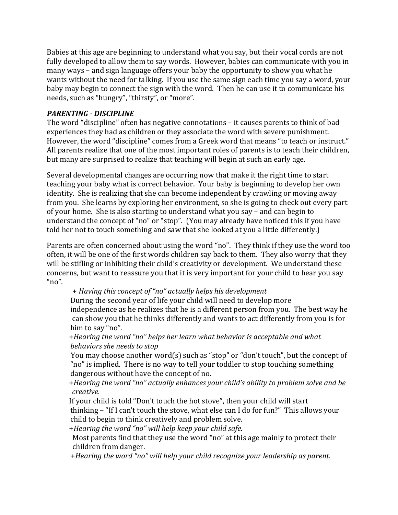Babies at this age are beginning to understand what you say, but their vocal cords are not fully developed to allow them to say words. However, babies can communicate with you in many ways – and sign language offers your baby the opportunity to show you what he wants without the need for talking. If you use the same sign each time you say a word, your baby may begin to connect the sign with the word. Then he can use it to communicate his needs, such as "hungry", "thirsty", or "more".

## *PARENTING - DISCIPLINE*

The word "discipline" often has negative connotations  $-$  it causes parents to think of bad experiences they had as children or they associate the word with severe punishment. However, the word "discipline" comes from a Greek word that means "to teach or instruct." All parents realize that one of the most important roles of parents is to teach their children, but many are surprised to realize that teaching will begin at such an early age.

Several developmental changes are occurring now that make it the right time to start teaching your baby what is correct behavior. Your baby is beginning to develop her own identity. She is realizing that she can become independent by crawling or moving away from you. She learns by exploring her environment, so she is going to check out every part of your home. She is also starting to understand what you say – and can begin to understand the concept of "no" or "stop". (You may already have noticed this if you have told her not to touch something and saw that she looked at you a little differently.)

Parents are often concerned about using the word "no". They think if they use the word too often, it will be one of the first words children say back to them. They also worry that they will be stifling or inhibiting their child's creativity or development. We understand these concerns, but want to reassure you that it is very important for your child to hear you say "no". 

 + *Having this concept of "no" actually helps his development*

During the second year of life your child will need to develop more independence as he realizes that he is a different person from you. The best way he can show you that he thinks differently and wants to act differently from you is for him to say "no".

+*Hearing the word "no" helps her learn what behavior is acceptable and what behaviors she needs* to *stop* 

You may choose another word(s) such as "stop" or "don't touch", but the concept of "no" is implied. There is no way to tell your toddler to stop touching something dangerous without have the concept of no.

+*Hearing the word "no" actually enhances your child's ability to problem solve and be creative.*

If your child is told "Don't touch the hot stove", then your child will start thinking  $-$  "If I can't touch the stove, what else can I do for fun?" This allows your child to begin to think creatively and problem solve.

+*Hearing the word "no"* will help keep your child safe.

Most parents find that they use the word "no" at this age mainly to protect their children from danger.

+*Hearing* the word "no" will help your child recognize your leadership as parent.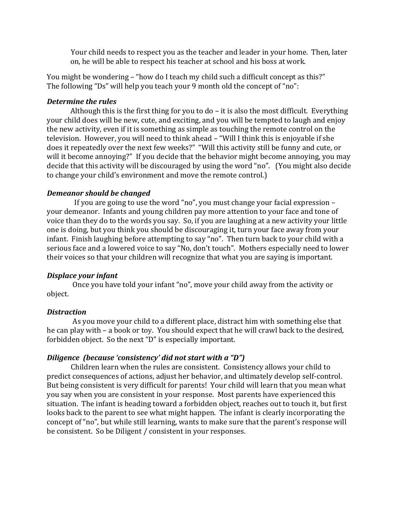Your child needs to respect you as the teacher and leader in your home. Then, later on, he will be able to respect his teacher at school and his boss at work.

You might be wondering – "how do I teach my child such a difficult concept as this?" The following "Ds" will help you teach your 9 month old the concept of "no":

#### *Determine the rules*

Although this is the first thing for you to  $d\sigma$  – it is also the most difficult. Everything your child does will be new, cute, and exciting, and you will be tempted to laugh and enjoy the new activity, even if it is something as simple as touching the remote control on the television. However, you will need to think ahead – "Will I think this is enjoyable if she does it repeatedly over the next few weeks?" "Will this activity still be funny and cute, or will it become annoying?" If you decide that the behavior might become annoying, you may decide that this activity will be discouraged by using the word "no". (You might also decide to change your child's environment and move the remote control.)

#### *Demeanor should be changed*

If you are going to use the word "no", you must change your facial expression – your demeanor. Infants and young children pay more attention to your face and tone of voice than they do to the words you say. So, if you are laughing at a new activity your little one is doing, but you think you should be discouraging it, turn your face away from your infant. Finish laughing before attempting to say "no". Then turn back to your child with a serious face and a lowered voice to say "No, don't touch". Mothers especially need to lower their voices so that your children will recognize that what you are saying is important.

#### *Displace your infant*

Once you have told your infant "no", move your child away from the activity or object.

#### *Distraction*

As you move your child to a different place, distract him with something else that he can play with  $-$  a book or toy. You should expect that he will crawl back to the desired, forbidden object. So the next "D" is especially important.

### *Diligence (because 'consistency' did not start with a "D")*

Children learn when the rules are consistent. Consistency allows your child to predict consequences of actions, adjust her behavior, and ultimately develop self-control. But being consistent is very difficult for parents! Your child will learn that you mean what you say when you are consistent in your response. Most parents have experienced this situation. The infant is heading toward a forbidden object, reaches out to touch it, but first looks back to the parent to see what might happen. The infant is clearly incorporating the concept of "no", but while still learning, wants to make sure that the parent's response will be consistent. So be Diligent / consistent in your responses.